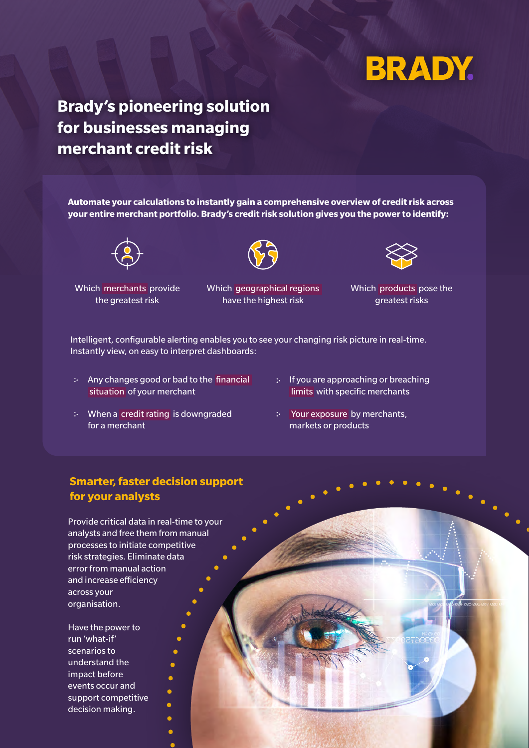# **BRADY.**

# **Brady's pioneering solution for businesses managing merchant credit risk**

**Automate your calculations to instantly gain a comprehensive overview of credit risk across your entire merchant portfolio. Brady's credit risk solution gives you the power to identify:**



Which merchants provide the greatest risk

Which geographical regions have the highest risk



Which products pose the greatest risks

Intelligent, configurable alerting enables you to see your changing risk picture in real-time. Instantly view, on easy to interpret dashboards:

- : Any changes good or bad to the financial situation of your merchant
- When a credit rating is downgraded for a merchant
- : If you are approaching or breaching limits with specific merchants
- Your exposure by merchants, markets or products

### **Smarter, faster decision support for your analysts**

Provide critical data in real-time to your analysts and free them from manual processes to initiate competitive risk strategies. Eliminate data error from manual action and increase efficiency across your organisation.

> $\bullet$  $\bullet$  $\bullet$

> > Ā

Have the power to run 'what-if' scenarios to understand the impact before events occur and support competitive decision making.